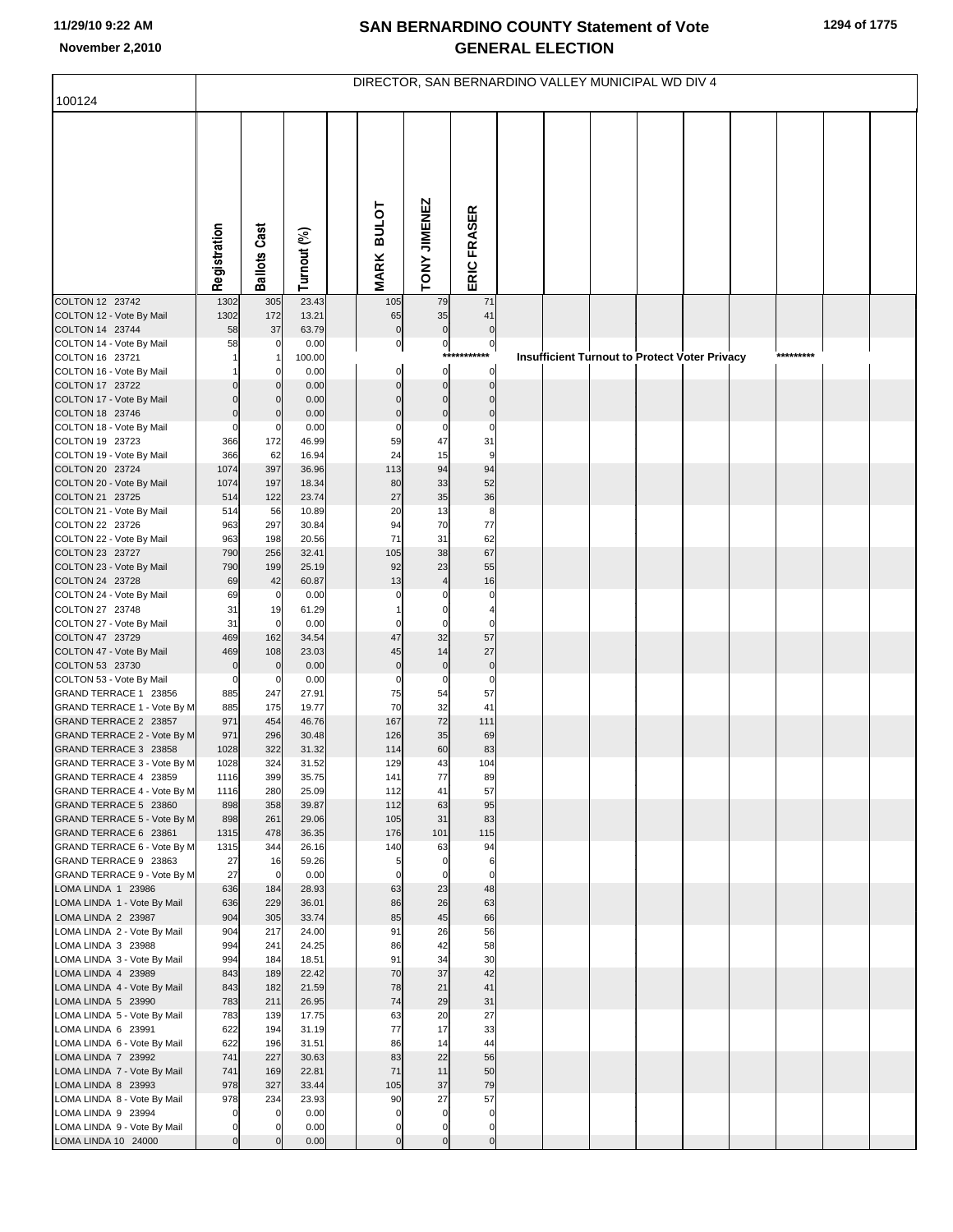|                                                      | DIRECTOR, SAN BERNARDINO VALLEY MUNICIPAL WD DIV 4 |                      |                |  |                   |                       |                                 |  |                                                      |  |  |  |  |           |  |  |
|------------------------------------------------------|----------------------------------------------------|----------------------|----------------|--|-------------------|-----------------------|---------------------------------|--|------------------------------------------------------|--|--|--|--|-----------|--|--|
| 100124                                               |                                                    |                      |                |  |                   |                       |                                 |  |                                                      |  |  |  |  |           |  |  |
|                                                      |                                                    |                      |                |  |                   |                       |                                 |  |                                                      |  |  |  |  |           |  |  |
|                                                      |                                                    |                      |                |  |                   |                       |                                 |  |                                                      |  |  |  |  |           |  |  |
|                                                      |                                                    |                      |                |  |                   |                       |                                 |  |                                                      |  |  |  |  |           |  |  |
|                                                      |                                                    |                      |                |  |                   |                       |                                 |  |                                                      |  |  |  |  |           |  |  |
|                                                      |                                                    |                      |                |  |                   |                       |                                 |  |                                                      |  |  |  |  |           |  |  |
|                                                      |                                                    |                      |                |  |                   |                       |                                 |  |                                                      |  |  |  |  |           |  |  |
|                                                      |                                                    |                      |                |  | <b>BULOT</b>      |                       |                                 |  |                                                      |  |  |  |  |           |  |  |
|                                                      |                                                    |                      |                |  |                   |                       |                                 |  |                                                      |  |  |  |  |           |  |  |
|                                                      | Registration                                       | <b>Ballots Cast</b>  | Turnout (%)    |  | <b>MARK</b>       | TONY JIMENEZ          | ERIC FRASER                     |  |                                                      |  |  |  |  |           |  |  |
| COLTON 12 23742                                      | 1302                                               | 305                  | 23.43          |  | 105               | 79                    | 71                              |  |                                                      |  |  |  |  |           |  |  |
| COLTON 12 - Vote By Mail                             | 1302                                               | 172                  | 13.21          |  | 65                | 35                    | 41                              |  |                                                      |  |  |  |  |           |  |  |
| COLTON 14 23744                                      | 58                                                 | 37                   | 63.79          |  | $\overline{0}$    | $\pmb{0}$             | $\overline{0}$                  |  |                                                      |  |  |  |  |           |  |  |
| COLTON 14 - Vote By Mail<br>COLTON 16 23721          | 58                                                 | 0                    | 0.00<br>100.00 |  | $\overline{0}$    | $\mathbf{0}$<br>$***$ | $\mathbf{0}$<br>$^{\star\star}$ |  | <b>Insufficient Turnout to Protect Voter Privacy</b> |  |  |  |  | ********* |  |  |
| COLTON 16 - Vote By Mail                             |                                                    |                      | 0.00           |  | $\mathbf 0$       | $\mathbf 0$           | $\circ$                         |  |                                                      |  |  |  |  |           |  |  |
| COLTON 17 23722                                      |                                                    |                      | 0.00           |  | $\Omega$          | $\Omega$              | $\overline{0}$                  |  |                                                      |  |  |  |  |           |  |  |
| COLTON 17 - Vote By Mail<br>COLTON 18 23746          | $\Omega$                                           |                      | 0.00<br>0.00   |  | $\Omega$          | $\Omega$<br>$\Omega$  | $\mathbf{0}$<br>$\mathbf 0$     |  |                                                      |  |  |  |  |           |  |  |
| COLTON 18 - Vote By Mail                             | 0                                                  | 0                    | 0.00           |  | $\Omega$          | $\pmb{0}$             | $\pmb{0}$                       |  |                                                      |  |  |  |  |           |  |  |
| COLTON 19 23723<br>COLTON 19 - Vote By Mail          | 366<br>366                                         | 172<br>62            | 46.99<br>16.94 |  | 59<br>24          | 47<br>15              | 31<br>$\overline{9}$            |  |                                                      |  |  |  |  |           |  |  |
| COLTON 20 23724                                      | 1074                                               | 397                  | 36.96          |  | 113               | 94                    | 94                              |  |                                                      |  |  |  |  |           |  |  |
| COLTON 20 - Vote By Mail                             | 1074                                               | 197                  | 18.34          |  | 80                | 33                    | 52                              |  |                                                      |  |  |  |  |           |  |  |
| COLTON 21 23725<br>COLTON 21 - Vote By Mail          | 514<br>514                                         | 122<br>56            | 23.74<br>10.89 |  | 27<br>20          | 35<br>13              | 36<br>8                         |  |                                                      |  |  |  |  |           |  |  |
| COLTON 22 23726                                      | 963                                                | 297                  | 30.84          |  | 94                | 70                    | 77                              |  |                                                      |  |  |  |  |           |  |  |
| COLTON 22 - Vote By Mail                             | 963                                                | 198                  | 20.56          |  | 71                | 31                    | 62                              |  |                                                      |  |  |  |  |           |  |  |
| COLTON 23 23727<br>COLTON 23 - Vote By Mail          | 790<br>790                                         | 256<br>199           | 32.41<br>25.19 |  | 105<br>92         | 38<br>23              | 67<br>55                        |  |                                                      |  |  |  |  |           |  |  |
| COLTON 24 23728                                      | 69                                                 | 42                   | 60.87          |  | 13                | $\overline{4}$        | 16                              |  |                                                      |  |  |  |  |           |  |  |
| COLTON 24 - Vote By Mail<br>COLTON 27 23748          | 69<br>31                                           | $\mathbf 0$          | 0.00<br>61.29  |  | $\Omega$          |                       | $\mathbf 0$                     |  |                                                      |  |  |  |  |           |  |  |
| COLTON 27 - Vote By Mail                             | 31                                                 | 19<br>$\overline{0}$ | 0.00           |  |                   | $\Omega$              | $\mathbf 0$                     |  |                                                      |  |  |  |  |           |  |  |
| COLTON 47 23729                                      | 469                                                | 162                  | 34.54          |  | 47                | 32                    | 57                              |  |                                                      |  |  |  |  |           |  |  |
| COLTON 47 - Vote By Mail<br>COLTON 53 23730          | 469<br>$\mathbf 0$                                 | 108<br>$\mathbf 0$   | 23.03<br>0.00  |  | 45<br>$\mathbf 0$ | 14<br>$\mathbf 0$     | 27<br>$\pmb{0}$                 |  |                                                      |  |  |  |  |           |  |  |
| COLTON 53 - Vote By Mail                             | 0                                                  | 0                    | 0.00           |  | $\Omega$          | 0                     | $\mathbf 0$                     |  |                                                      |  |  |  |  |           |  |  |
| GRAND TERRACE 1 23856                                | 885                                                | 247                  | 27.91          |  | 75                | 54                    | 57                              |  |                                                      |  |  |  |  |           |  |  |
| GRAND TERRACE 1 - Vote By M<br>GRAND TERRACE 2 23857 | 885<br>971                                         | 175<br>454           | 19.77<br>46.76 |  | 70<br>167         | 32<br>72              | 41<br>111                       |  |                                                      |  |  |  |  |           |  |  |
| GRAND TERRACE 2 - Vote By M                          | 971                                                | 296                  | 30.48          |  | 126               | 35                    | 69                              |  |                                                      |  |  |  |  |           |  |  |
| GRAND TERRACE 3 23858<br>GRAND TERRACE 3 - Vote By M | 1028<br>1028                                       | 322<br>324           | 31.32<br>31.52 |  | 114<br>129        | 60<br>43              | 83<br>104                       |  |                                                      |  |  |  |  |           |  |  |
| GRAND TERRACE 4 23859                                | 1116                                               | 399                  | 35.75          |  | 141               | 77                    | 89                              |  |                                                      |  |  |  |  |           |  |  |
| GRAND TERRACE 4 - Vote By M                          | 1116                                               | 280                  | 25.09          |  | 112               | 41                    | 57                              |  |                                                      |  |  |  |  |           |  |  |
| GRAND TERRACE 5 23860<br>GRAND TERRACE 5 - Vote By M | 898<br>898                                         | 358<br>261           | 39.87<br>29.06 |  | 112<br>105        | 63<br>31              | 95<br>83                        |  |                                                      |  |  |  |  |           |  |  |
| GRAND TERRACE 6 23861                                | 1315                                               | 478                  | 36.35          |  | 176               | 101                   | 115                             |  |                                                      |  |  |  |  |           |  |  |
| GRAND TERRACE 6 - Vote By M<br>GRAND TERRACE 9 23863 | 1315<br>27                                         | 344<br>16            | 26.16<br>59.26 |  | 140<br>5          | 63<br>$\mathbf 0$     | 94<br>6                         |  |                                                      |  |  |  |  |           |  |  |
| GRAND TERRACE 9 - Vote By M                          | 27                                                 | $\overline{0}$       | 0.00           |  | $\Omega$          | $\mathbf 0$           | $\overline{0}$                  |  |                                                      |  |  |  |  |           |  |  |
| LOMA LINDA 1 23986                                   | 636                                                | 184                  | 28.93          |  | 63                | 23                    | 48                              |  |                                                      |  |  |  |  |           |  |  |
| LOMA LINDA 1 - Vote By Mail<br>LOMA LINDA 2 23987    | 636<br>904                                         | 229<br>305           | 36.01<br>33.74 |  | 86<br>85          | 26<br>45              | 63<br>66                        |  |                                                      |  |  |  |  |           |  |  |
| LOMA LINDA 2 - Vote By Mail                          | 904                                                | 217                  | 24.00          |  | 91                | 26                    | 56                              |  |                                                      |  |  |  |  |           |  |  |
| LOMA LINDA 3 23988                                   | 994                                                | 241                  | 24.25          |  | 86<br>91          | 42<br>34              | 58                              |  |                                                      |  |  |  |  |           |  |  |
| LOMA LINDA 3 - Vote By Mail<br>LOMA LINDA 4 23989    | 994<br>843                                         | 184<br>189           | 18.51<br>22.42 |  | 70                | 37                    | 30<br>42                        |  |                                                      |  |  |  |  |           |  |  |
| LOMA LINDA 4 - Vote By Mail                          | 843                                                | 182                  | 21.59          |  | 78                | 21                    | 41                              |  |                                                      |  |  |  |  |           |  |  |
| LOMA LINDA 5 23990<br>LOMA LINDA 5 - Vote By Mail    | 783<br>783                                         | 211<br>139           | 26.95<br>17.75 |  | 74<br>63          | 29<br>20              | 31<br>27                        |  |                                                      |  |  |  |  |           |  |  |
| LOMA LINDA 6 23991                                   | 622                                                | 194                  | 31.19          |  | 77                | 17                    | 33                              |  |                                                      |  |  |  |  |           |  |  |
| LOMA LINDA 6 - Vote By Mail                          | 622                                                | 196                  | 31.51          |  | 86                | 14                    | 44                              |  |                                                      |  |  |  |  |           |  |  |
| LOMA LINDA 7 23992<br>LOMA LINDA 7 - Vote By Mail    | 741<br>741                                         | 227<br>169           | 30.63<br>22.81 |  | 83<br>71          | 22<br>11              | 56<br>50                        |  |                                                      |  |  |  |  |           |  |  |
| LOMA LINDA 8 23993                                   | 978                                                | 327                  | 33.44          |  | 105               | 37                    | 79                              |  |                                                      |  |  |  |  |           |  |  |
| LOMA LINDA 8 - Vote By Mail<br>LOMA LINDA 9 23994    | 978<br>$\pmb{0}$                                   | 234<br>0             | 23.93<br>0.00  |  | 90<br>$\mathbf 0$ | 27<br>$\mathbf 0$     | 57<br>$\overline{0}$            |  |                                                      |  |  |  |  |           |  |  |
| LOMA LINDA 9 - Vote By Mail                          | $\pmb{0}$                                          | 0                    | 0.00           |  | 0                 | $\mathbf 0$           | $\overline{0}$                  |  |                                                      |  |  |  |  |           |  |  |
| LOMA LINDA 10 24000                                  | $\mathbf 0$                                        |                      | 0.00           |  | 0                 | $\mathbf 0$           | $\overline{0}$                  |  |                                                      |  |  |  |  |           |  |  |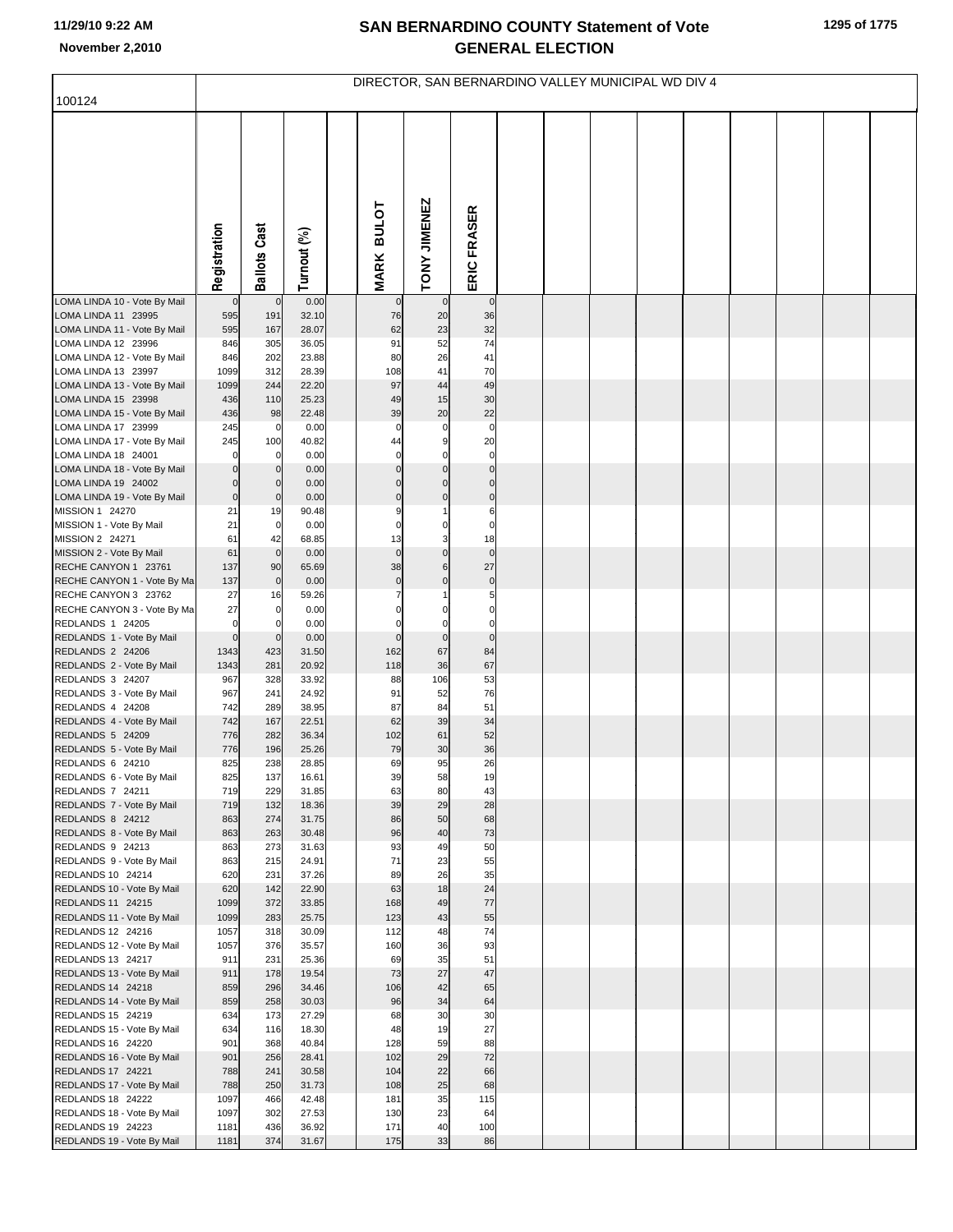| 100124                                              | DIRECTOR, SAN BERNARDINO VALLEY MUNICIPAL WD DIV 4 |                            |                |  |                             |                          |                               |  |  |  |  |  |  |  |  |  |
|-----------------------------------------------------|----------------------------------------------------|----------------------------|----------------|--|-----------------------------|--------------------------|-------------------------------|--|--|--|--|--|--|--|--|--|
|                                                     |                                                    |                            |                |  |                             |                          |                               |  |  |  |  |  |  |  |  |  |
|                                                     | Registration                                       | <b>Ballots Cast</b>        | Turnout (%)    |  | <b>BULOT</b><br><b>MARK</b> | TONY JIMENEZ             | ERIC FRASER                   |  |  |  |  |  |  |  |  |  |
| LOMA LINDA 10 - Vote By Mail                        | $\mathbf 0$                                        | $\mathbf 0$                | 0.00           |  | $\mathbf 0$                 | $\mathbf{0}$             | $\overline{0}$                |  |  |  |  |  |  |  |  |  |
| LOMA LINDA 11 23995<br>LOMA LINDA 11 - Vote By Mail | 595<br>595                                         | 191<br>167                 | 32.10<br>28.07 |  | 76<br>62                    | 20<br>23                 | 36<br>32                      |  |  |  |  |  |  |  |  |  |
| LOMA LINDA 12 23996                                 | 846                                                | 305                        | 36.05          |  | 91                          | 52                       | 74                            |  |  |  |  |  |  |  |  |  |
| LOMA LINDA 12 - Vote By Mail                        | 846                                                | 202                        | 23.88          |  | 80                          | 26                       | 41                            |  |  |  |  |  |  |  |  |  |
| LOMA LINDA 13 23997                                 | 1099                                               | 312                        | 28.39          |  | 108                         | 41                       | 70                            |  |  |  |  |  |  |  |  |  |
| LOMA LINDA 13 - Vote By Mail<br>LOMA LINDA 15 23998 | 1099<br>436                                        | 244<br>110                 | 22.20<br>25.23 |  | 97<br>49                    | 44<br>15                 | 49<br>30                      |  |  |  |  |  |  |  |  |  |
| LOMA LINDA 15 - Vote By Mail                        | 436                                                | 98                         | 22.48          |  | 39                          | 20                       | 22                            |  |  |  |  |  |  |  |  |  |
| LOMA LINDA 17 23999                                 | 245                                                | $\mathbf 0$                | 0.00           |  | $\mathbf 0$                 | $\mathbf 0$              | $\mathbf 0$                   |  |  |  |  |  |  |  |  |  |
| LOMA LINDA 17 - Vote By Mail                        | 245                                                | 100                        | 40.82          |  | 44                          | 9                        | 20                            |  |  |  |  |  |  |  |  |  |
| LOMA LINDA 18 24001                                 | $\Omega$                                           | 0                          | 0.00           |  | $\mathbf 0$                 | $\Omega$                 | $\mathbf 0$                   |  |  |  |  |  |  |  |  |  |
| LOMA LINDA 18 - Vote By Mail<br>LOMA LINDA 19 24002 | $\mathbf 0$<br>$\mathbf 0$                         | $\mathbf 0$<br>$\mathbf 0$ | 0.00<br>0.00   |  | $\mathbf 0$<br>$\Omega$     | $\mathbf 0$<br>$\Omega$  | $\overline{0}$<br>$\mathbf 0$ |  |  |  |  |  |  |  |  |  |
| LOMA LINDA 19 - Vote By Mail                        | $\mathbf 0$                                        | $\mathbf 0$                | 0.00           |  | $\mathbf 0$                 | $\mathbf 0$              | $\pmb{0}$                     |  |  |  |  |  |  |  |  |  |
| MISSION 1 24270                                     | 21                                                 | 19                         | 90.48          |  | g                           | 1                        | 6                             |  |  |  |  |  |  |  |  |  |
| MISSION 1 - Vote By Mail                            | 21                                                 | $\mathbf 0$                | 0.00           |  | 0                           | $\mathbf 0$              | $\mathbf 0$                   |  |  |  |  |  |  |  |  |  |
| MISSION 2 24271<br>MISSION 2 - Vote By Mail         | 61<br>61                                           | 42<br>$\mathbf 0$          | 68.85<br>0.00  |  | 13<br>$\mathbf 0$           | 3<br>$\mathbf 0$         | 18<br>$\overline{0}$          |  |  |  |  |  |  |  |  |  |
| RECHE CANYON 1 23761                                | 137                                                | 90                         | 65.69          |  | 38                          | $\,6$                    | 27                            |  |  |  |  |  |  |  |  |  |
| RECHE CANYON 1 - Vote By Ma                         | 137                                                | $\mathbf 0$                | 0.00           |  | $\pmb{0}$                   | $\mathbf 0$              | $\overline{0}$                |  |  |  |  |  |  |  |  |  |
| RECHE CANYON 3 23762                                | 27                                                 | 16                         | 59.26          |  | $\overline{7}$              |                          | 5                             |  |  |  |  |  |  |  |  |  |
| RECHE CANYON 3 - Vote By Ma<br>REDLANDS 1 24205     | 27<br>$\mathbf 0$                                  | $\mathbf 0$<br>0           | 0.00<br>0.00   |  | $\Omega$<br>$\Omega$        | $\Omega$<br>$\mathsf{C}$ | $\mathbf 0$<br>$\mathbf 0$    |  |  |  |  |  |  |  |  |  |
| REDLANDS 1 - Vote By Mail                           | $\mathbf 0$                                        | $\mathbf 0$                | 0.00           |  | $\mathbf 0$                 | $\pmb{0}$                | $\pmb{0}$                     |  |  |  |  |  |  |  |  |  |
| REDLANDS 2 24206                                    | 1343                                               | 423                        | 31.50          |  | 162                         | 67                       | 84                            |  |  |  |  |  |  |  |  |  |
| REDLANDS 2 - Vote By Mail                           | 1343                                               | 281                        | 20.92          |  | 118                         | 36                       | 67                            |  |  |  |  |  |  |  |  |  |
| REDLANDS 3 24207<br>REDLANDS 3 - Vote By Mail       | 967<br>967                                         | 328<br>241                 | 33.92<br>24.92 |  | 88<br>91                    | 106<br>52                | 53<br>76                      |  |  |  |  |  |  |  |  |  |
| REDLANDS 4 24208                                    | 742                                                | 289                        | 38.95          |  | 87                          | 84                       | 51                            |  |  |  |  |  |  |  |  |  |
| REDLANDS 4 - Vote By Mail                           | 742                                                | 167                        | 22.51          |  | 62                          | 39                       | 34                            |  |  |  |  |  |  |  |  |  |
| REDLANDS 5 24209                                    | 776                                                | 282                        | 36.34          |  | 102                         | 61                       | 52                            |  |  |  |  |  |  |  |  |  |
| REDLANDS 5 - Vote By Mail<br>REDLANDS 6 24210       | 776<br>825                                         | 196<br>238                 | 25.26<br>28.85 |  | 79<br>69                    | 30<br>95                 | 36<br>26                      |  |  |  |  |  |  |  |  |  |
| REDLANDS 6 - Vote By Mail                           | 825                                                | 137                        | 16.61          |  | 39                          | 58                       | 19                            |  |  |  |  |  |  |  |  |  |
| REDLANDS 7 24211                                    | 719                                                | 229                        | 31.85          |  | 63                          | 80                       | 43                            |  |  |  |  |  |  |  |  |  |
| REDLANDS 7 - Vote By Mail                           | 719                                                | 132                        | 18.36          |  | 39                          | 29                       | 28                            |  |  |  |  |  |  |  |  |  |
| REDLANDS 8 24212<br>REDLANDS 8 - Vote By Mail       | 863<br>863                                         | 274<br>263                 | 31.75<br>30.48 |  | 86<br>96                    | 50<br>40                 | 68<br>73                      |  |  |  |  |  |  |  |  |  |
| REDLANDS 9 24213                                    | 863                                                | 273                        | 31.63          |  | 93                          | 49                       | 50                            |  |  |  |  |  |  |  |  |  |
| REDLANDS 9 - Vote By Mail                           | 863                                                | 215                        | 24.91          |  | 71                          | 23                       | 55                            |  |  |  |  |  |  |  |  |  |
| REDLANDS 10 24214                                   | 620                                                | 231                        | 37.26          |  | 89                          | 26                       | 35                            |  |  |  |  |  |  |  |  |  |
| REDLANDS 10 - Vote By Mail<br>REDLANDS 11 24215     | 620<br>1099                                        | 142<br>372                 | 22.90<br>33.85 |  | 63<br>168                   | 18<br>49                 | 24<br>$77$                    |  |  |  |  |  |  |  |  |  |
| REDLANDS 11 - Vote By Mail                          | 1099                                               | 283                        | 25.75          |  | 123                         | 43                       | 55                            |  |  |  |  |  |  |  |  |  |
| REDLANDS 12 24216                                   | 1057                                               | 318                        | 30.09          |  | 112                         | 48                       | 74                            |  |  |  |  |  |  |  |  |  |
| REDLANDS 12 - Vote By Mail                          | 1057                                               | 376                        | 35.57          |  | 160                         | 36                       | 93                            |  |  |  |  |  |  |  |  |  |
| REDLANDS 13 24217<br>REDLANDS 13 - Vote By Mail     | 911<br>911                                         | 231<br>178                 | 25.36<br>19.54 |  | 69<br>73                    | 35<br>27                 | 51<br>47                      |  |  |  |  |  |  |  |  |  |
| REDLANDS 14 24218                                   | 859                                                | 296                        | 34.46          |  | 106                         | 42                       | 65                            |  |  |  |  |  |  |  |  |  |
| REDLANDS 14 - Vote By Mail                          | 859                                                | 258                        | 30.03          |  | 96                          | 34                       | 64                            |  |  |  |  |  |  |  |  |  |
| REDLANDS 15 24219                                   | 634                                                | 173                        | 27.29          |  | 68                          | 30                       | 30                            |  |  |  |  |  |  |  |  |  |
| REDLANDS 15 - Vote By Mail<br>REDLANDS 16 24220     | 634<br>901                                         | 116<br>368                 | 18.30<br>40.84 |  | 48<br>128                   | 19<br>59                 | 27<br>88                      |  |  |  |  |  |  |  |  |  |
| REDLANDS 16 - Vote By Mail                          | 901                                                | 256                        | 28.41          |  | 102                         | 29                       | 72                            |  |  |  |  |  |  |  |  |  |
| REDLANDS 17 24221                                   | 788                                                | 241                        | 30.58          |  | 104                         | 22                       | 66                            |  |  |  |  |  |  |  |  |  |
| REDLANDS 17 - Vote By Mail                          | 788                                                | 250                        | 31.73          |  | 108                         | 25                       | 68                            |  |  |  |  |  |  |  |  |  |
| REDLANDS 18 24222                                   | 1097                                               | 466                        | 42.48          |  | 181                         | 35                       | 115                           |  |  |  |  |  |  |  |  |  |
| REDLANDS 18 - Vote By Mail<br>REDLANDS 19 24223     | 1097<br>1181                                       | 302<br>436                 | 27.53<br>36.92 |  | 130<br>171                  | 23<br>40                 | 64<br>100                     |  |  |  |  |  |  |  |  |  |
| REDLANDS 19 - Vote By Mail                          | 1181                                               | 374                        | 31.67          |  | 175                         | 33                       | 86                            |  |  |  |  |  |  |  |  |  |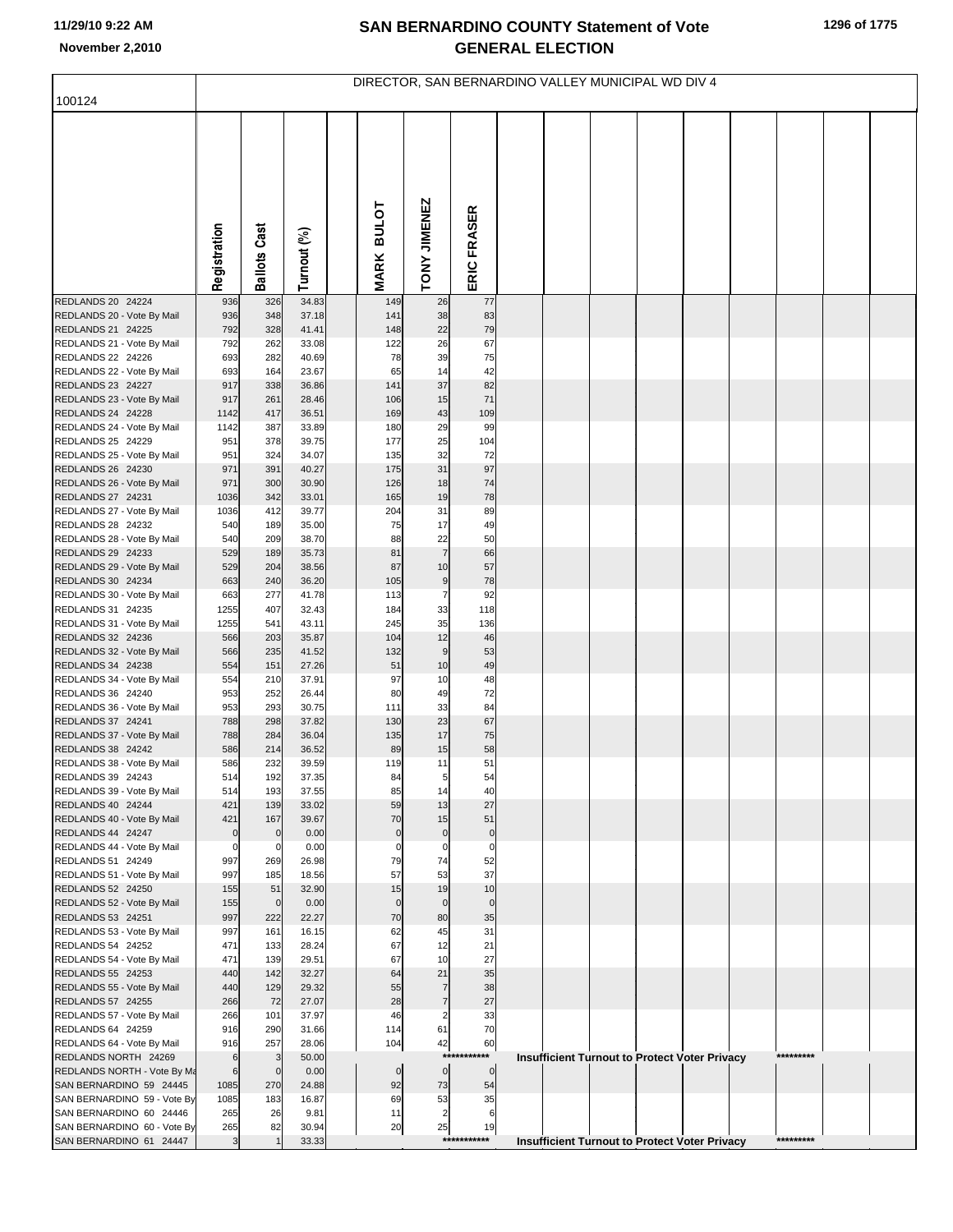|                                                        | DIRECTOR, SAN BERNARDINO VALLEY MUNICIPAL WD DIV 4 |                     |                |  |                             |                |                     |  |  |  |                                                      |  |  |           |  |  |
|--------------------------------------------------------|----------------------------------------------------|---------------------|----------------|--|-----------------------------|----------------|---------------------|--|--|--|------------------------------------------------------|--|--|-----------|--|--|
| 100124                                                 |                                                    |                     |                |  |                             |                |                     |  |  |  |                                                      |  |  |           |  |  |
|                                                        | Registration                                       | <b>Ballots Cast</b> | Turnout (%)    |  | <b>BULOT</b><br><b>MARK</b> | TONY JIMENEZ   | ERIC FRASER         |  |  |  |                                                      |  |  |           |  |  |
| REDLANDS 20 24224                                      | 936                                                | 326                 | 34.83          |  | 149                         | 26             | 77                  |  |  |  |                                                      |  |  |           |  |  |
| REDLANDS 20 - Vote By Mail                             | 936                                                | 348                 | 37.18          |  | 141                         | 38             | 83                  |  |  |  |                                                      |  |  |           |  |  |
| REDLANDS 21 24225<br>REDLANDS 21 - Vote By Mail        | 792<br>792                                         | 328<br>262          | 41.41<br>33.08 |  | 148<br>122                  | 22<br>26       | 79<br>67            |  |  |  |                                                      |  |  |           |  |  |
| REDLANDS 22 24226                                      | 693                                                | 282                 | 40.69          |  | 78                          | 39             | 75                  |  |  |  |                                                      |  |  |           |  |  |
| REDLANDS 22 - Vote By Mail                             | 693                                                | 164                 | 23.67          |  | 65                          | 14             | 42                  |  |  |  |                                                      |  |  |           |  |  |
| REDLANDS 23 24227                                      | 917                                                | 338                 | 36.86          |  | 141                         | 37             | 82                  |  |  |  |                                                      |  |  |           |  |  |
| REDLANDS 23 - Vote By Mail                             | 917                                                | 261                 | 28.46          |  | 106                         | 15             | 71                  |  |  |  |                                                      |  |  |           |  |  |
| REDLANDS 24 24228                                      | 1142                                               | 417                 | 36.51          |  | 169                         | 43             | 109                 |  |  |  |                                                      |  |  |           |  |  |
| REDLANDS 24 - Vote By Mail                             | 1142<br>951                                        | 387<br>378          | 33.89<br>39.75 |  | 180<br>177                  | 29<br>25       | 99<br>104           |  |  |  |                                                      |  |  |           |  |  |
| REDLANDS 25 24229<br>REDLANDS 25 - Vote By Mail        | 951                                                | 324                 | 34.07          |  | 135                         | 32             | 72                  |  |  |  |                                                      |  |  |           |  |  |
| REDLANDS 26 24230                                      | 971                                                | 391                 | 40.27          |  | 175                         | 31             | 97                  |  |  |  |                                                      |  |  |           |  |  |
| REDLANDS 26 - Vote By Mail                             | 971                                                | 300                 | 30.90          |  | 126                         | 18             | 74                  |  |  |  |                                                      |  |  |           |  |  |
| REDLANDS 27 24231                                      | 1036                                               | 342                 | 33.01          |  | 165                         | 19             | 78                  |  |  |  |                                                      |  |  |           |  |  |
| REDLANDS 27 - Vote By Mail                             | 1036                                               | 412                 | 39.77          |  | 204                         | 31             | 89                  |  |  |  |                                                      |  |  |           |  |  |
| REDLANDS 28 24232<br>REDLANDS 28 - Vote By Mail        | 540<br>540                                         | 189<br>209          | 35.00<br>38.70 |  | 75<br>88                    | 17<br>22       | 49<br>50            |  |  |  |                                                      |  |  |           |  |  |
| REDLANDS 29 24233                                      | 529                                                | 189                 | 35.73          |  | 81                          | $\overline{7}$ | 66                  |  |  |  |                                                      |  |  |           |  |  |
| REDLANDS 29 - Vote By Mail                             | 529                                                | 204                 | 38.56          |  | 87                          | 10             | 57                  |  |  |  |                                                      |  |  |           |  |  |
| REDLANDS 30 24234                                      | 663                                                | 240                 | 36.20          |  | 105                         | 9              | 78                  |  |  |  |                                                      |  |  |           |  |  |
| REDLANDS 30 - Vote By Mail                             | 663                                                | 277                 | 41.78          |  | 113                         | $\overline{7}$ | 92                  |  |  |  |                                                      |  |  |           |  |  |
| REDLANDS 31 24235                                      | 1255                                               | 407<br>541          | 32.43<br>43.11 |  | 184<br>245                  | 33<br>35       | 118<br>136          |  |  |  |                                                      |  |  |           |  |  |
| REDLANDS 31 - Vote By Mail<br>REDLANDS 32 24236        | 1255<br>566                                        | 203                 | 35.87          |  | 104                         | 12             | 46                  |  |  |  |                                                      |  |  |           |  |  |
| REDLANDS 32 - Vote By Mail                             | 566                                                | 235                 | 41.52          |  | 132                         | $9$            | 53                  |  |  |  |                                                      |  |  |           |  |  |
| REDLANDS 34 24238                                      | 554                                                | 151                 | 27.26          |  | 51                          | 10             | 49                  |  |  |  |                                                      |  |  |           |  |  |
| REDLANDS 34 - Vote By Mail                             | 554                                                | 210                 | 37.91          |  | 97                          | 10             | 48                  |  |  |  |                                                      |  |  |           |  |  |
| REDLANDS 36 24240                                      | 953                                                | 252                 | 26.44<br>30.75 |  | 80<br>111                   | 49<br>33       | 72<br>84            |  |  |  |                                                      |  |  |           |  |  |
| REDLANDS 36 - Vote By Mail<br>REDLANDS 37 24241        | 953<br>788                                         | 293<br>298          | 37.82          |  | 130                         | 23             | 67                  |  |  |  |                                                      |  |  |           |  |  |
| REDLANDS 37 - Vote By Mail                             | 788                                                | 284                 | 36.04          |  | 135                         | 17             | 75                  |  |  |  |                                                      |  |  |           |  |  |
| REDLANDS 38 24242                                      | 586                                                | 214                 | 36.52          |  | 89                          | 15             | 58                  |  |  |  |                                                      |  |  |           |  |  |
| REDLANDS 38 - Vote By Mail                             | 586                                                | 232                 | 39.59          |  | 119                         | 11             | 51                  |  |  |  |                                                      |  |  |           |  |  |
| REDLANDS 39 24243                                      | 514                                                | 192                 | 37.35          |  | 84                          | 5              | 54                  |  |  |  |                                                      |  |  |           |  |  |
| REDLANDS 39 - Vote By Mail<br>REDLANDS 40 24244        | 514<br>421                                         | 193<br>139          | 37.55<br>33.02 |  | 85<br>59                    | 14<br>13       | 40<br>27            |  |  |  |                                                      |  |  |           |  |  |
| REDLANDS 40 - Vote By Mail                             | 421                                                | 167                 | 39.67          |  | 70                          | 15             | 51                  |  |  |  |                                                      |  |  |           |  |  |
| REDLANDS 44 24247                                      | $\pmb{0}$                                          | $\mathbf 0$         | 0.00           |  | $\mathbf 0$                 | $\pmb{0}$      | $\mathbf 0$         |  |  |  |                                                      |  |  |           |  |  |
| REDLANDS 44 - Vote By Mail                             | $\pmb{0}$                                          | 0                   | 0.00           |  | $\mathbf 0$                 | $\mathbf 0$    | $\mathbf 0$         |  |  |  |                                                      |  |  |           |  |  |
| REDLANDS 51 24249<br>REDLANDS 51 - Vote By Mail        | 997<br>997                                         | 269<br>185          | 26.98<br>18.56 |  | 79<br>57                    | 74<br>53       | 52<br>37            |  |  |  |                                                      |  |  |           |  |  |
| REDLANDS 52 24250                                      | 155                                                | 51                  | 32.90          |  | 15                          | 19             | 10                  |  |  |  |                                                      |  |  |           |  |  |
| REDLANDS 52 - Vote By Mail                             | 155                                                | $\overline{0}$      | 0.00           |  | $\mathbf 0$                 | $\mathbf 0$    | $\overline{0}$      |  |  |  |                                                      |  |  |           |  |  |
| REDLANDS 53 24251                                      | 997                                                | 222                 | 22.27          |  | 70                          | 80             | 35                  |  |  |  |                                                      |  |  |           |  |  |
| REDLANDS 53 - Vote By Mail                             | 997                                                | 161                 | 16.15          |  | 62                          | 45             | 31                  |  |  |  |                                                      |  |  |           |  |  |
| REDLANDS 54 24252                                      | 471<br>471                                         | 133<br>139          | 28.24<br>29.51 |  | 67<br>67                    | 12<br>10       | 21<br>27            |  |  |  |                                                      |  |  |           |  |  |
| REDLANDS 54 - Vote By Mail<br>REDLANDS 55 24253        | 440                                                | 142                 | 32.27          |  | 64                          | 21             | 35                  |  |  |  |                                                      |  |  |           |  |  |
| REDLANDS 55 - Vote By Mail                             | 440                                                | 129                 | 29.32          |  | 55                          | $\overline{7}$ | 38                  |  |  |  |                                                      |  |  |           |  |  |
| REDLANDS 57 24255                                      | 266                                                | 72                  | 27.07          |  | 28                          | $\overline{7}$ | 27                  |  |  |  |                                                      |  |  |           |  |  |
| REDLANDS 57 - Vote By Mail                             | 266                                                | 101                 | 37.97          |  | 46                          | $\overline{2}$ | 33                  |  |  |  |                                                      |  |  |           |  |  |
| REDLANDS 64 24259                                      | 916                                                | 290                 | 31.66          |  | 114                         | 61             | 70                  |  |  |  |                                                      |  |  |           |  |  |
| REDLANDS 64 - Vote By Mail<br>REDLANDS NORTH 24269     | 916<br>6                                           | 257<br>3            | 28.06<br>50.00 |  | 104                         | 42<br>$***$    | 60<br>***           |  |  |  | <b>Insufficient Turnout to Protect Voter Privacy</b> |  |  | ********* |  |  |
| REDLANDS NORTH - Vote By Ma                            | $6\overline{6}$                                    | $\mathbf 0$         | 0.00           |  | $\overline{0}$              | $\pmb{0}$      | $\circ$             |  |  |  |                                                      |  |  |           |  |  |
| SAN BERNARDINO 59 24445                                | 1085                                               | 270                 | 24.88          |  | 92                          | 73             | 54                  |  |  |  |                                                      |  |  |           |  |  |
| SAN BERNARDINO 59 - Vote By                            | 1085                                               | 183                 | 16.87          |  | 69                          | 53             | 35                  |  |  |  |                                                      |  |  |           |  |  |
| SAN BERNARDINO 60 24446                                | 265                                                | 26                  | 9.81           |  | 11                          | $\overline{2}$ | 6                   |  |  |  |                                                      |  |  |           |  |  |
| SAN BERNARDINO 60 - Vote By<br>SAN BERNARDINO 61 24447 | 265<br>$\mathbf{3}$                                | 82                  | 30.94<br>33.33 |  | 20                          | 25             | 19<br>****<br>***** |  |  |  | <b>Insufficient Turnout to Protect Voter Privacy</b> |  |  | ********* |  |  |
|                                                        |                                                    |                     |                |  |                             |                |                     |  |  |  |                                                      |  |  |           |  |  |